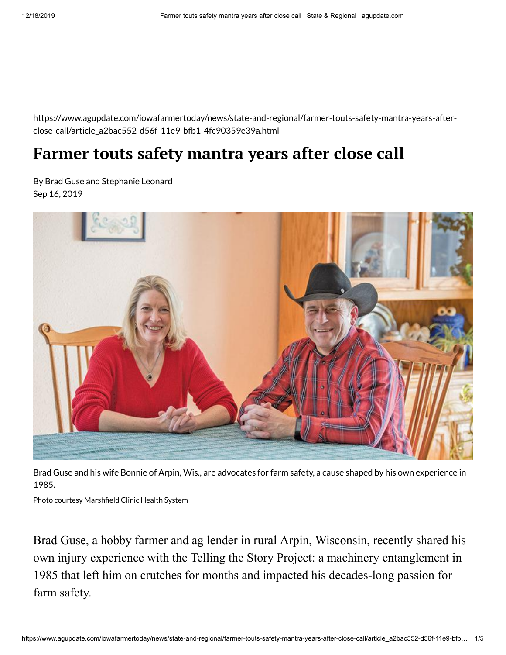https://www.agupdate.com/iowafarmertoday/news/state-and-regional/farmer-touts-safety-mantra-years-afterclose-call/article\_a2bac552-d56f-11e9-bfb1-4fc90359e39a.html

## **Farmer touts safety mantra years after close call**

By Brad Guse and Stephanie Leonard Sep 16, 2019



Brad Guse and his wife Bonnie of Arpin, Wis., are advocates for farm safety, a cause shaped by his own experience in 1985.

Photo courtesy Marshfield Clinic Health System

Brad Guse, a hobby farmer and ag lender in rural Arpin, Wisconsin, recently shared his own injury experience with the Telling the Story Project: a machinery entanglement in 1985 that left him on crutches for months and impacted his decades-long passion for farm safety.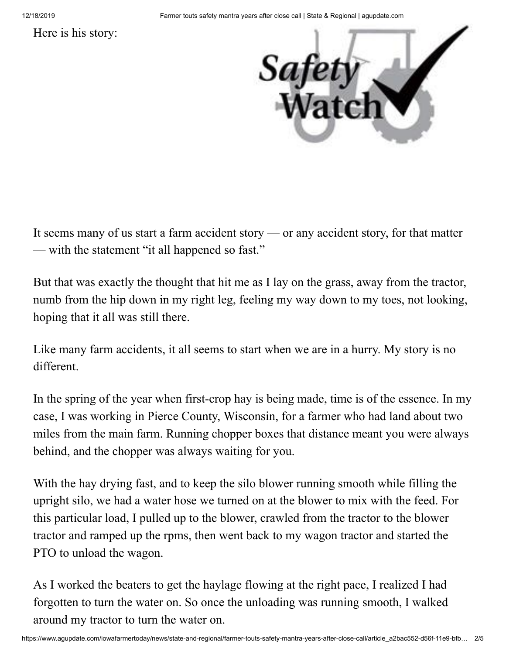Here is his story:



It seems many of us start a farm accident story — or any accident story, for that matter — with the statement "it all happened so fast."

But that was exactly the thought that hit me as I lay on the grass, away from the tractor, numb from the hip down in my right leg, feeling my way down to my toes, not looking, hoping that it all was still there.

Like many farm accidents, it all seems to start when we are in a hurry. My story is no different.

In the spring of the year when first-crop hay is being made, time is of the essence. In my case, I was working in Pierce County, Wisconsin, for a farmer who had land about two miles from the main farm. Running chopper boxes that distance meant you were always behind, and the chopper was always waiting for you.

With the hay drying fast, and to keep the silo blower running smooth while filling the upright silo, we had a water hose we turned on at the blower to mix with the feed. For this particular load, I pulled up to the blower, crawled from the tractor to the blower tractor and ramped up the rpms, then went back to my wagon tractor and started the PTO to unload the wagon.

As I worked the beaters to get the haylage flowing at the right pace, I realized I had forgotten to turn the water on. So once the unloading was running smooth, I walked around my tractor to turn the water on.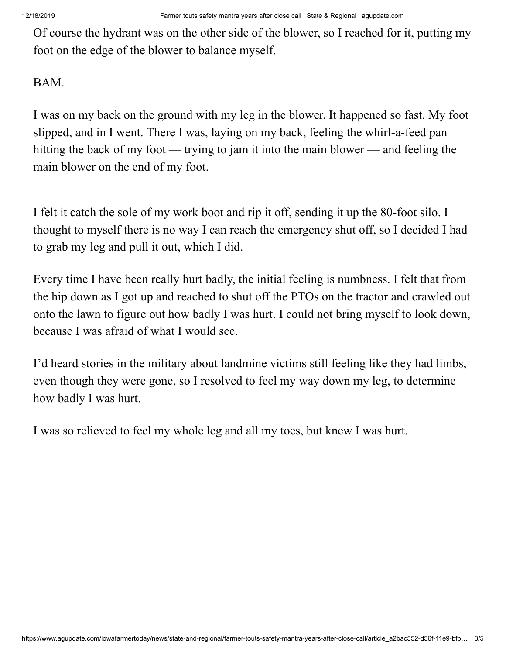Of course the hydrant was on the other side of the blower, so I reached for it, putting my foot on the edge of the blower to balance myself.

## BAM.

I was on my back on the ground with my leg in the blower. It happened so fast. My foot slipped, and in I went. There I was, laying on my back, feeling the whirl-a-feed pan hitting the back of my foot — trying to jam it into the main blower — and feeling the main blower on the end of my foot.

I felt it catch the sole of my work boot and rip it off, sending it up the 80-foot silo. I thought to myself there is no way I can reach the emergency shut off, so I decided I had to grab my leg and pull it out, which I did.

Every time I have been really hurt badly, the initial feeling is numbness. I felt that from the hip down as I got up and reached to shut off the PTOs on the tractor and crawled out onto the lawn to figure out how badly I was hurt. I could not bring myself to look down, because I was afraid of what I would see.

I'd heard stories in the military about landmine victims still feeling like they had limbs, even though they were gone, so I resolved to feel my way down my leg, to determine how badly I was hurt.

I was so relieved to feel my whole leg and all my toes, but knew I was hurt.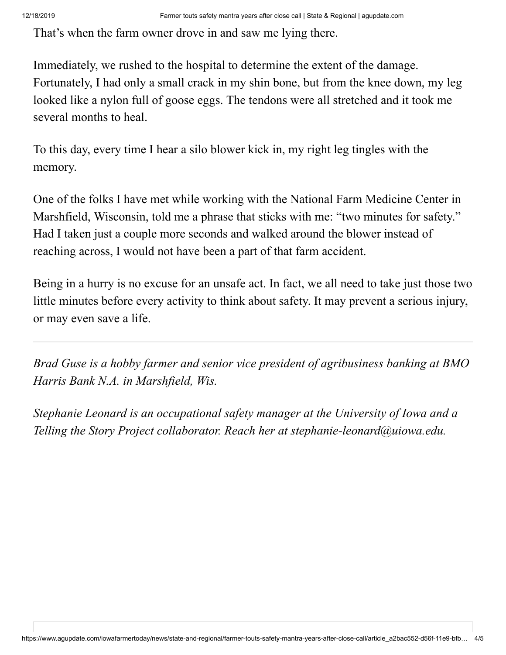That's when the farm owner drove in and saw me lying there.

Immediately, we rushed to the hospital to determine the extent of the damage. Fortunately, I had only a small crack in my shin bone, but from the knee down, my leg looked like a nylon full of goose eggs. The tendons were all stretched and it took me several months to heal.

To this day, every time I hear a silo blower kick in, my right leg tingles with the memory.

One of the folks I have met while working with the National Farm Medicine Center in Marshfield, Wisconsin, told me a phrase that sticks with me: "two minutes for safety." Had I taken just a couple more seconds and walked around the blower instead of reaching across, I would not have been a part of that farm accident.

Being in a hurry is no excuse for an unsafe act. In fact, we all need to take just those two little minutes before every activity to think about safety. It may prevent a serious injury, or may even save a life.

*Brad Guse is a hobby farmer and senior vice president of agribusiness banking at BMO Harris Bank N.A. in Marshfield, Wis.*

*Stephanie Leonard is an occupational safety manager at the University of Iowa and a Telling the Story Project collaborator. Reach her at [stephanie-leonard@uiowa.edu.](mailto:stephanie-leonard@uiowa.edu)*